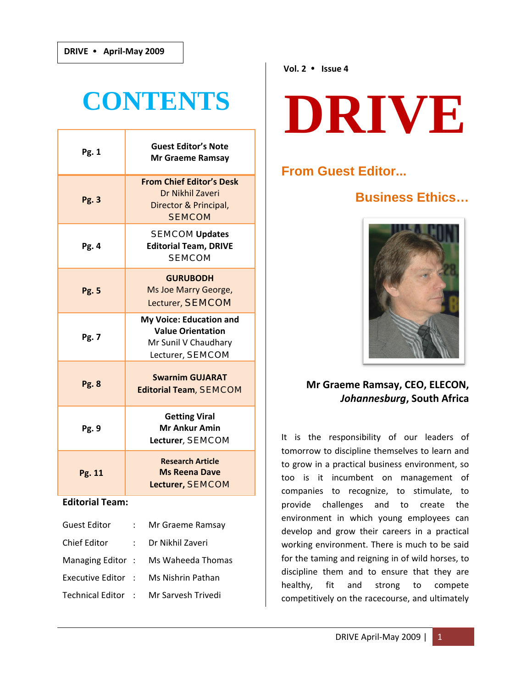# **CONTENTS**

| Pg. 1        | <b>Guest Editor's Note</b><br>Mr Graeme Ramsay                                                  |
|--------------|-------------------------------------------------------------------------------------------------|
| Pg. 3        | <b>From Chief Editor's Desk</b><br>Dr Nikhil Zaveri<br>Director & Principal,<br><b>SEMCOM</b>   |
| Pg. 4        | <b>SEMCOM Updates</b><br><b>Editorial Team, DRIVE</b><br><b>SEMCOM</b>                          |
| <b>Pg. 5</b> | <b>GURUBODH</b><br>Ms Joe Marry George,<br>Lecturer, SEMCOM                                     |
| Pg. 7        | My Voice: Education and<br><b>Value Orientation</b><br>Mr Sunil V Chaudhary<br>Lecturer, SEMCOM |
| <b>Pg. 8</b> | <b>Swarnim GUJARAT</b><br><b>Editorial Team, SEMCOM</b>                                         |
| Pg. 9        | <b>Getting Viral</b><br><b>Mr Ankur Amin</b><br>Lecturer, SEMCOM                                |
| Pg. 11       | <b>Research Article</b><br><b>Ms Reena Dave</b><br>Lecturer, SEMCOM                             |

#### **Editorial Team:**

|                    | Mr Graeme Ramsay   |
|--------------------|--------------------|
|                    | Dr Nikhil Zaveri   |
| Managing Editor:   | Ms Waheeda Thomas  |
| Executive Editor : | Ms Nishrin Pathan  |
| Technical Editor : | Mr Sarvesh Trivedi |
|                    |                    |

# **DRIVE**

# **From Guest Editor...**

# **Business Ethics…**



# **Mr Graeme Ramsay, CEO, ELECON,**  *Johannesburg***, South Africa**

It is the responsibility of our leaders of tomorrow to discipline themselves to learn and to grow in a practical business environment, so too is it incumbent on management of companies to recognize, to stimulate, to provide challenges and to create the environment in which young employees can develop and grow their careers in a practical working environment. There is much to be said for the taming and reigning in of wild horses, to discipline them and to ensure that they are healthy, fit and strong to compete competitively on the racecourse, and ultimately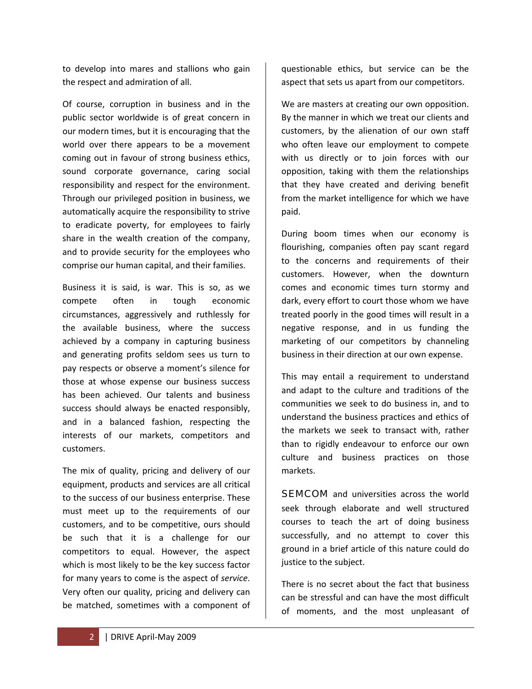to develop into mares and stallions who gain the respect and admiration of all.

Of course, corruption in business and in the public sector worldwide is of great concern in our modern times, but it is encouraging that the world over there appears to be a movement coming out in favour of strong business ethics, sound corporate governance, caring social responsibility and respect for the environment. Through our privileged position in business, we automatically acquire the responsibility to strive to eradicate poverty, for employees to fairly share in the wealth creation of the company, and to provide security for the employees who comprise our human capital, and their families.

Business it is said, is war. This is so, as we compete often in tough economic circumstances, aggressively and ruthlessly for the available business, where the success achieved by a company in capturing business and generating profits seldom sees us turn to pay respects or observe a moment's silence for those at whose expense our business success has been achieved. Our talents and business success should always be enacted responsibly, and in a balanced fashion, respecting the interests of our markets, competitors and customers.

The mix of quality, pricing and delivery of our equipment, products and services are all critical to the success of our business enterprise. These must meet up to the requirements of our customers, and to be competitive, ours should be such that it is a challenge for our competitors to equal. However, the aspect which is most likely to be the key success factor for many years to come is the aspect of *service*. Very often our quality, pricing and delivery can be matched, sometimes with a component of questionable ethics, but service can be the aspect that sets us apart from our competitors.

We are masters at creating our own opposition. By the manner in which we treat our clients and customers, by the alienation of our own staff who often leave our employment to compete with us directly or to join forces with our opposition, taking with them the relationships that they have created and deriving benefit from the market intelligence for which we have paid.

During boom times when our economy is flourishing, companies often pay scant regard to the concerns and requirements of their customers. However, when the downturn comes and economic times turn stormy and dark, every effort to court those whom we have treated poorly in the good times will result in a negative response, and in us funding the marketing of our competitors by channeling business in their direction at our own expense.

This may entail a requirement to understand and adapt to the culture and traditions of the communities we seek to do business in, and to understand the business practices and ethics of the markets we seek to transact with, rather than to rigidly endeavour to enforce our own culture and business practices on those markets.

**SEMCOM** and universities across the world seek through elaborate and well structured courses to teach the art of doing business successfully, and no attempt to cover this ground in a brief article of this nature could do justice to the subject.

There is no secret about the fact that business can be stressful and can have the most difficult of moments, and the most unpleasant of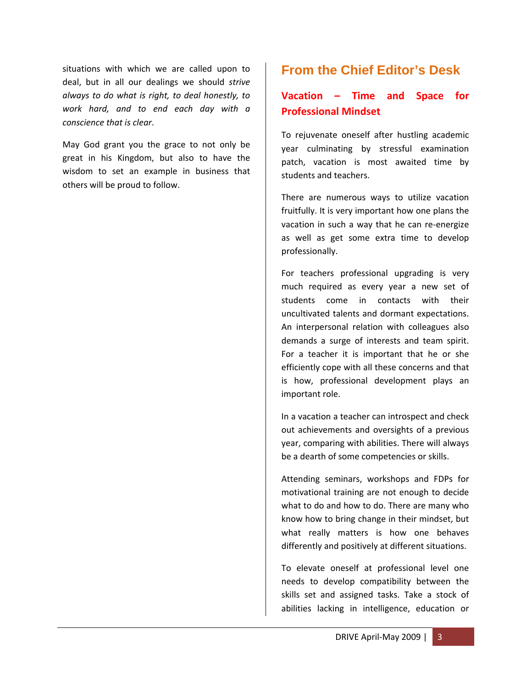situations with which we are called upon to deal, but in all our dealings we should *strive always to do what is right, to deal honestly, to work hard, and to end each day with a conscience that is clear*.

May God grant you the grace to not only be great in his Kingdom, but also to have the wisdom to set an example in business that others will be proud to follow.

# **From the Chief Editor's Desk**

# **Vacation – Time and Space for Professional Mindset**

To rejuvenate oneself after hustling academic year culminating by stressful examination patch, vacation is most awaited time by students and teachers.

There are numerous ways to utilize vacation fruitfully. It is very important how one plans the vacation in such a way that he can re‐energize as well as get some extra time to develop professionally.

For teachers professional upgrading is very much required as every year a new set of students come in contacts with their uncultivated talents and dormant expectations. An interpersonal relation with colleagues also demands a surge of interests and team spirit. For a teacher it is important that he or she efficiently cope with all these concerns and that is how, professional development plays an important role.

In a vacation a teacher can introspect and check out achievements and oversights of a previous year, comparing with abilities. There will always be a dearth of some competencies or skills.

Attending seminars, workshops and FDPs for motivational training are not enough to decide what to do and how to do. There are many who know how to bring change in their mindset, but what really matters is how one behaves differently and positively at different situations.

To elevate oneself at professional level one needs to develop compatibility between the skills set and assigned tasks. Take a stock of abilities lacking in intelligence, education or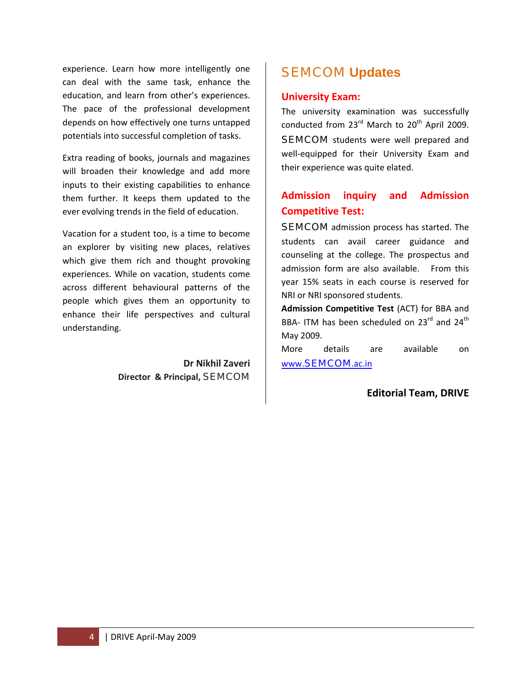experience. Learn how more intelligently one can deal with the same task, enhance the education, and learn from other's experiences. The pace of the professional development depends on how effectively one turns untapped potentials into successful completion of tasks.

Extra reading of books, journals and magazines will broaden their knowledge and add more inputs to their existing capabilities to enhance them further. It keeps them updated to the ever evolving trends in the field of education.

Vacation for a student too, is a time to become an explorer by visiting new places, relatives which give them rich and thought provoking experiences. While on vacation, students come across different behavioural patterns of the people which gives them an opportunity to enhance their life perspectives and cultural understanding.

> **Dr Nikhil Zaveri Director & Principal,** SEMCOM

# SEMCOM **Updates**

#### **University Exam:**

The university examination was successfully conducted from  $23^{\text{rd}}$  March to  $20^{\text{th}}$  April 2009. **SEMCOM** students were well prepared and well-equipped for their University Exam and their experience was quite elated.

# **Admission inquiry and Admission Competitive Test:**

**SEMCOM** admission process has started. The students can avail career guidance and counseling at the college. The prospectus and admission form are also available. From this year 15% seats in each course is reserved for NRI or NRI sponsored students.

**Admission Competitive Test** (ACT) for BBA and BBA- ITM has been scheduled on  $23^{\text{rd}}$  and  $24^{\text{th}}$ May 2009.

More details are available on www.[SEMCOM](http://www.semcom.ac.in/).ac.in

#### **Editorial Team, DRIVE**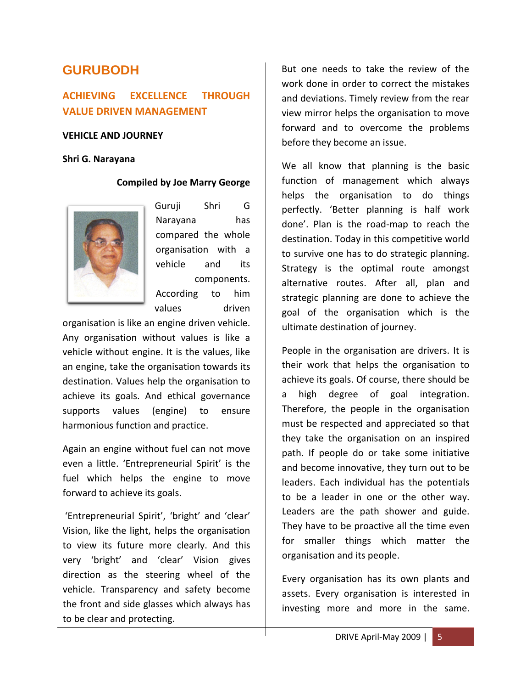# **GURUBODH**

# **ACHIEVING EXCELLENCE THROUGH VALUE DRIVEN MANAGEMENT**

#### **VEHICLE AND JOURNEY**

#### **Shri G. Narayana**

#### **Compiled by Joe Marry George**



Guruji Shri G Narayana has compared the whole organisation with a vehicle and its components. According to him values driven

organisation is like an engine driven vehicle. Any organisation without values is like a vehicle without engine. It is the values, like an engine, take the organisation towards its destination. Values help the organisation to achieve its goals. And ethical governance supports values (engine) to ensure harmonious function and practice.

Again an engine without fuel can not move even a little. 'Entrepreneurial Spirit' is the fuel which helps the engine to move forward to achieve its goals.

'Entrepreneurial Spirit', 'bright' and 'clear' Vision, like the light, helps the organisation to view its future more clearly. And this very 'bright' and 'clear' Vision gives direction as the steering wheel of the vehicle. Transparency and safety become the front and side glasses which always has to be clear and protecting.

But one needs to take the review of the work done in order to correct the mistakes and deviations. Timely review from the rear view mirror helps the organisation to move forward and to overcome the problems before they become an issue.

We all know that planning is the basic function of management which always helps the organisation to do things perfectly. 'Better planning is half work done'. Plan is the road‐map to reach the destination. Today in this competitive world to survive one has to do strategic planning. Strategy is the optimal route amongst alternative routes. After all, plan and strategic planning are done to achieve the goal of the organisation which is the ultimate destination of journey.

People in the organisation are drivers. It is their work that helps the organisation to achieve its goals. Of course, there should be a high degree of goal integration. Therefore, the people in the organisation must be respected and appreciated so that they take the organisation on an inspired path. If people do or take some initiative and become innovative, they turn out to be leaders. Each individual has the potentials to be a leader in one or the other way. Leaders are the path shower and guide. They have to be proactive all the time even for smaller things which matter the organisation and its people.

Every organisation has its own plants and assets. Every organisation is interested in investing more and more in the same.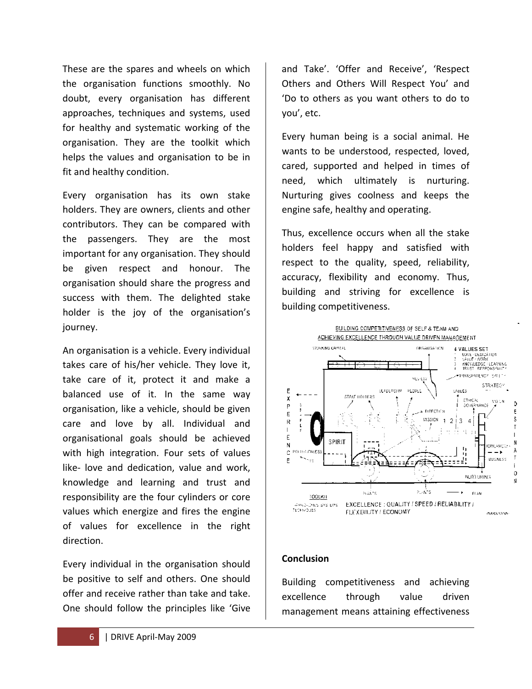These are the spares and wheels on which the organisation functions smoothly. No doubt, every organisation has different approaches, techniques and systems, used for healthy and systematic working of the organisation. They are the toolkit which helps the values and organisation to be in fit and healthy condition.

Every organisation has its own stake holders. They are owners, clients and other contributors. They can be compared with the passengers. They are the most important for any organisation. They should be given respect and honour. The organisation should share the progress and success with them. The delighted stake holder is the joy of the organisation's journey.

An organisation is a vehicle. Every individual takes care of his/her vehicle. They love it, take care of it, protect it and make a balanced use of it. In the same way organisation, like a vehicle, should be given care and love by all. Individual and organisational goals should be achieved with high integration. Four sets of values like‐ love and dedication, value and work, knowledge and learning and trust and responsibility are the four cylinders or core values which energize and fires the engine of values for excellence in the right direction.

Every individual in the organisation should be positive to self and others. One should offer and receive rather than take and take. One should follow the principles like 'Give

and Take'. 'Offer and Receive', 'Respect Others and Others Will Respect You' and 'Do to others as you want others to do to you', etc.

Every human being is a social animal. He wants to be understood, respected, loved, cared, supported and helped in times of need, which ultimately is nurturing. Nurturing gives coolness and keeps the engine safe, healthy and operating.

Thus, excellence occurs when all the stake holders feel happy and satisfied with respect to the quality, speed, reliability, accuracy, flexibility and economy. Thus, building and striving for excellence is building competitiveness.



#### **Conclusion**

Building competitiveness and achieving excellence through value driven management means attaining effectiveness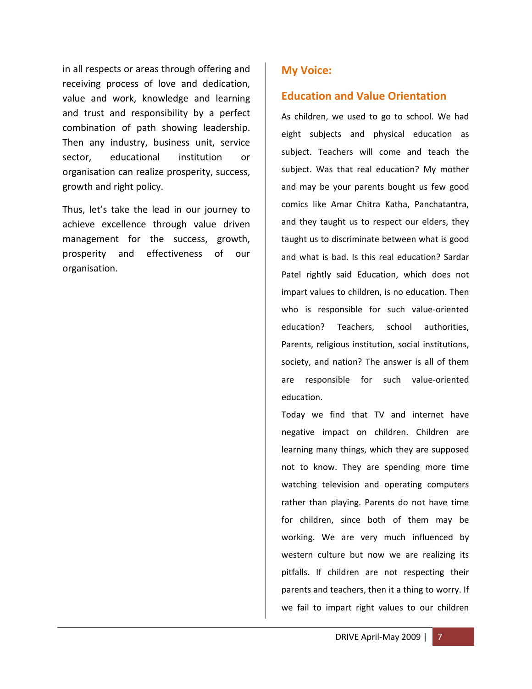in all respects or areas through offering and receiving process of love and dedication, value and work, knowledge and learning and trust and responsibility by a perfect combination of path showing leadership. Then any industry, business unit, service sector, educational institution or organisation can realize prosperity, success, growth and right policy.

Thus, let's take the lead in our journey to achieve excellence through value driven management for the success, growth, prosperity and effectiveness of our organisation.

# **My Voice:**

# **Education and Value Orientation**

As children, we used to go to school. We had eight subjects and physical education as subject. Teachers will come and teach the subject. Was that real education? My mother and may be your parents bought us few good comics like Amar Chitra Katha, Panchatantra, and they taught us to respect our elders, they taught us to discriminate between what is good and what is bad. Is this real education? Sardar Patel rightly said Education, which does not impart values to children, is no education. Then who is responsible for such value-oriented education? Teachers, school authorities, Parents, religious institution, social institutions, society, and nation? The answer is all of them are responsible for such value‐oriented education.

Today we find that TV and internet have negative impact on children. Children are learning many things, which they are supposed not to know. They are spending more time watching television and operating computers rather than playing. Parents do not have time for children, since both of them may be working. We are very much influenced by western culture but now we are realizing its pitfalls. If children are not respecting their parents and teachers, then it a thing to worry. If we fail to impart right values to our children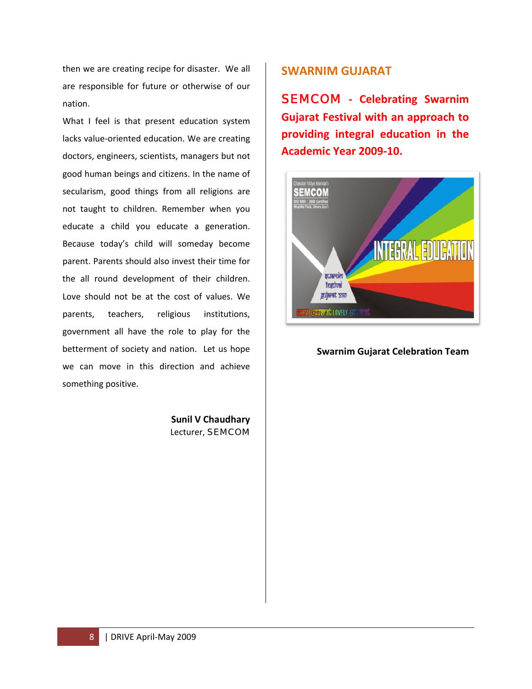then we are creating recipe for disaster. We all are responsible for future or otherwise of our nation.

What I feel is that present education system lacks value‐oriented education. We are creating doctors, engineers, scientists, managers but not good human beings and citizens. In the name of secularism, good things from all religions are not taught to children. Remember when you educate a child you educate a generation. Because today's child will someday become parent. Parents should also invest their time for the all round development of their children. Love should not be at the cost of values. We parents, teachers, religious institutions, government all have the role to play for the betterment of society and nation. Let us hope we can move in this direction and achieve something positive.

> **Sunil V Chaudhary** Lecturer, SEMCOM

# **SWARNIM GUJARAT**

SEMCOM **‐ Celebrating Swarnim Gujarat Festival with an approach to providing integral education in the Academic Year 2009‐10.**



#### **Swarnim Gujarat Celebration Team**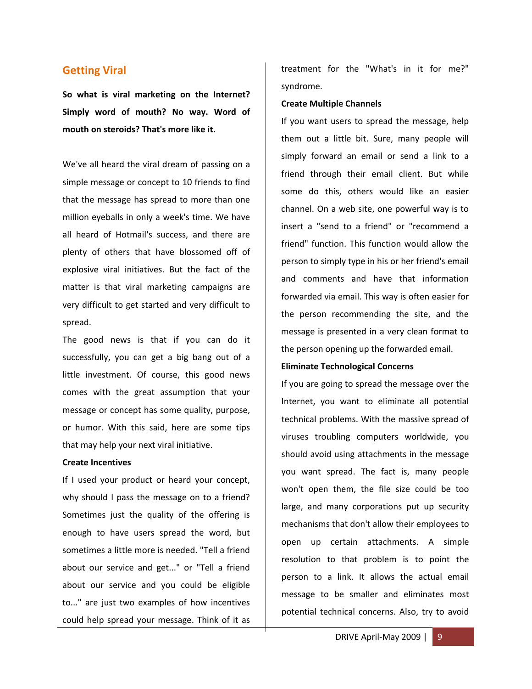#### **Getting Viral**

**So what is viral marketing on the Internet? Simply word of mouth? No way. Word of mouth on steroids? That's more like it.** 

We've all heard the viral dream of passing on a simple message or concept to 10 friends to find that the message has spread to more than one million eyeballs in only a week's time. We have all heard of Hotmail's success, and there are plenty of others that have blossomed off of explosive viral initiatives. But the fact of the matter is that viral marketing campaigns are very difficult to get started and very difficult to spread.

The good news is that if you can do it successfully, you can get a big bang out of a little investment. Of course, this good news comes with the great assumption that your message or concept has some quality, purpose, or humor. With this said, here are some tips that may help your next viral initiative.

#### **Create Incentives**

If I used your product or heard your concept, why should I pass the message on to a friend? Sometimes just the quality of the offering is enough to have users spread the word, but sometimes a little more is needed. "Tell a friend about our service and get..." or "Tell a friend about our service and you could be eligible to..." are just two examples of how incentives could help spread your message. Think of it as

treatment for the "What's in it for me?" syndrome.

#### **Create Multiple Channels**

If you want users to spread the message, help them out a little bit. Sure, many people will simply forward an email or send a link to a friend through their email client. But while some do this, others would like an easier channel. On a web site, one powerful way is to insert a "send to a friend" or "recommend a friend" function. This function would allow the person to simply type in his or her friend's email and comments and have that information forwarded via email. This way is often easier for the person recommending the site, and the message is presented in a very clean format to the person opening up the forwarded email.

#### **Eliminate Technological Concerns**

If you are going to spread the message over the Internet, you want to eliminate all potential technical problems. With the massive spread of viruses troubling computers worldwide, you should avoid using attachments in the message you want spread. The fact is, many people won't open them, the file size could be too large, and many corporations put up security mechanisms that don't allow their employees to open up certain attachments. A simple resolution to that problem is to point the person to a link. It allows the actual email message to be smaller and eliminates most potential technical concerns. Also, try to avoid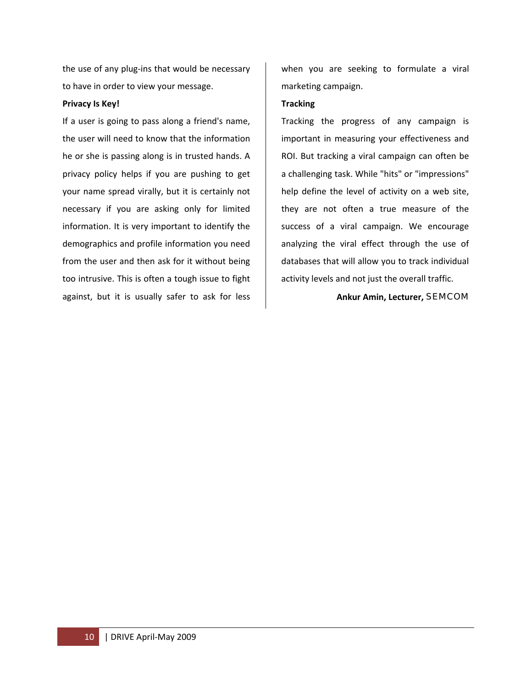the use of any plug‐ins that would be necessary to have in order to view your message.

#### **Privacy Is Key!**

If a user is going to pass along a friend's name, the user will need to know that the information he or she is passing along is in trusted hands. A privacy policy helps if you are pushing to get your name spread virally, but it is certainly not necessary if you are asking only for limited information. It is very important to identify the demographics and profile information you need from the user and then ask for it without being too intrusive. This is often a tough issue to fight against, but it is usually safer to ask for less

when you are seeking to formulate a viral marketing campaign.

#### **Tracking**

Tracking the progress of any campaign is important in measuring your effectiveness and ROI. But tracking a viral campaign can often be a challenging task. While "hits" or "impressions" help define the level of activity on a web site, they are not often a true measure of the success of a viral campaign. We encourage analyzing the viral effect through the use of databases that will allow you to track individual activity levels and not just the overall traffic.

#### **Ankur Amin, Lecturer,** SEMCOM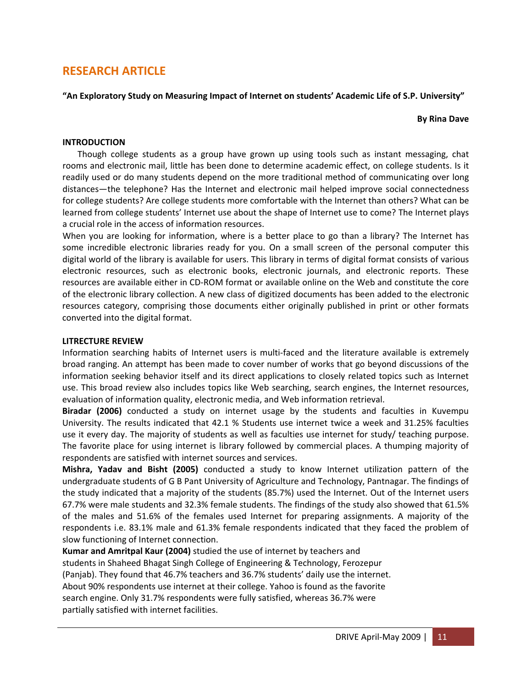# **RESEARCH ARTICLE**

**"An Exploratory Study on Measuring Impact of Internet on students' Academic Life of S.P. University"**

#### **By Rina Dave**

#### **INTRODUCTION**

 Though college students as a group have grown up using tools such as instant messaging, chat rooms and electronic mail, little has been done to determine academic effect, on college students. Is it readily used or do many students depend on the more traditional method of communicating over long distances—the telephone? Has the Internet and electronic mail helped improve social connectedness for college students? Are college students more comfortable with the Internet than others? What can be learned from college students' Internet use about the shape of Internet use to come? The Internet plays a crucial role in the access of information resources.

When you are looking for information, where is a better place to go than a library? The Internet has some incredible electronic libraries ready for you. On a small screen of the personal computer this digital world of the library is available for users. This library in terms of digital format consists of various electronic resources, such as electronic books, electronic journals, and electronic reports. These resources are available either in CD‐ROM format or available online on the Web and constitute the core of the electronic library collection. A new class of digitized documents has been added to the electronic resources category, comprising those documents either originally published in print or other formats converted into the digital format.

#### **LITRECTURE REVIEW**

Information searching habits of Internet users is multi-faced and the literature available is extremely broad ranging. An attempt has been made to cover number of works that go beyond discussions of the information seeking behavior itself and its direct applications to closely related topics such as Internet use. This broad review also includes topics like Web searching, search engines, the Internet resources, evaluation of information quality, electronic media, and Web information retrieval.

**Biradar (2006)** conducted a study on internet usage by the students and faculties in Kuvempu University. The results indicated that 42.1 % Students use internet twice a week and 31.25% faculties use it every day. The majority of students as well as faculties use internet for study/ teaching purpose. The favorite place for using internet is library followed by commercial places. A thumping majority of respondents are satisfied with internet sources and services.

**Mishra, Yadav and Bisht (2005)** conducted a study to know Internet utilization pattern of the undergraduate students of G B Pant University of Agriculture and Technology, Pantnagar. The findings of the study indicated that a majority of the students (85.7%) used the Internet. Out of the Internet users 67.7% were male students and 32.3% female students. The findings of the study also showed that 61.5% of the males and 51.6% of the females used Internet for preparing assignments. A majority of the respondents i.e. 83.1% male and 61.3% female respondents indicated that they faced the problem of slow functioning of Internet connection.

**Kumar and Amritpal Kaur (2004)** studied the use of internet by teachers and students in Shaheed Bhagat Singh College of Engineering & Technology, Ferozepur (Panjab). They found that 46.7% teachers and 36.7% students' daily use the internet. About 90% respondents use internet at their college. Yahoo is found as the favorite search engine. Only 31.7% respondents were fully satisfied, whereas 36.7% were partially satisfied with internet facilities.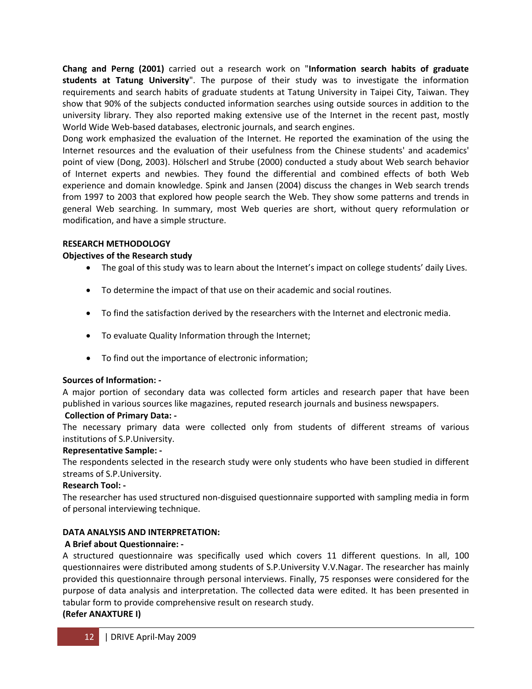**Chang and Perng (2001)** carried out a research work on "**Information search habits of graduate students at Tatung University**". The purpose of their study was to investigate the information requirements and search habits of graduate students at Tatung University in Taipei City, Taiwan. They show that 90% of the subjects conducted information searches using outside sources in addition to the university library. They also reported making extensive use of the Internet in the recent past, mostly World Wide Web‐based databases, electronic journals, and search engines.

Dong work emphasized the evaluation of the Internet. He reported the examination of the using the Internet resources and the evaluation of their usefulness from the Chinese students' and academics' point of view (Dong, 2003). Hölscherl and Strube (2000) conducted a study about Web search behavior of Internet experts and newbies. They found the differential and combined effects of both Web experience and domain knowledge. Spink and Jansen (2004) discuss the changes in Web search trends from 1997 to 2003 that explored how people search the Web. They show some patterns and trends in general Web searching. In summary, most Web queries are short, without query reformulation or modification, and have a simple structure.

#### **RESEARCH METHODOLOGY**

#### **Objectives of the Research study**

- The goal of this study was to learn about the Internet's impact on college students' daily Lives.
- To determine the impact of that use on their academic and social routines.
- To find the satisfaction derived by the researchers with the Internet and electronic media.
- To evaluate Quality Information through the Internet;
- To find out the importance of electronic information;

# **Sources of Information: ‐**

A major portion of secondary data was collected form articles and research paper that have been published in various sources like magazines, reputed research journals and business newspapers.

#### **Collection of Primary Data: ‐**

The necessary primary data were collected only from students of different streams of various institutions of S.P.University.

# **Representative Sample: ‐**

The respondents selected in the research study were only students who have been studied in different streams of S.P.University.

# **Research Tool: ‐**

The researcher has used structured non‐disguised questionnaire supported with sampling media in form of personal interviewing technique.

# **DATA ANALYSIS AND INTERPRETATION:**

# **A Brief about Questionnaire: ‐**

A structured questionnaire was specifically used which covers 11 different questions. In all, 100 questionnaires were distributed among students of S.P.University V.V.Nagar. The researcher has mainly provided this questionnaire through personal interviews. Finally, 75 responses were considered for the purpose of data analysis and interpretation. The collected data were edited. It has been presented in tabular form to provide comprehensive result on research study.

# **(Refer ANAXTURE I)**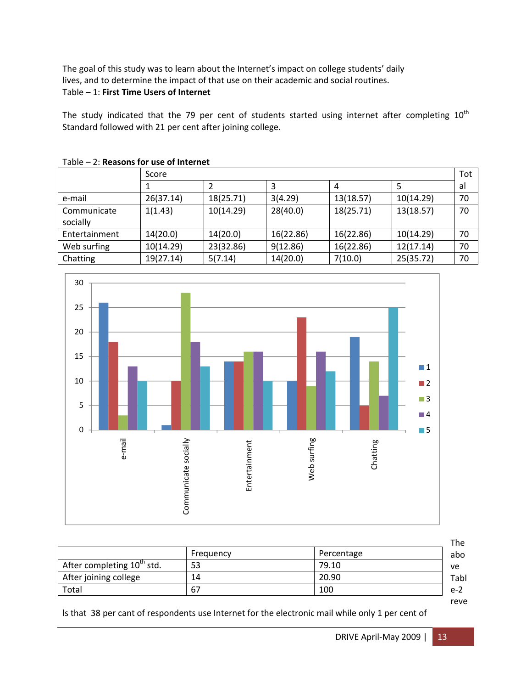The goal of this study was to learn about the Internet's impact on college students' daily lives, and to determine the impact of that use on their academic and social routines.

# Table – 1: **First Time Users of Internet**

The study indicated that the 79 per cent of students started using internet after completing  $10^{th}$ Standard followed with 21 per cent after joining college.

|                         | Score     |           |           |           |           | Tot |
|-------------------------|-----------|-----------|-----------|-----------|-----------|-----|
|                         |           |           |           | 4         |           | al  |
| e-mail                  | 26(37.14) | 18(25.71) | 3(4.29)   | 13(18.57) | 10(14.29) | 70  |
| Communicate<br>socially | 1(1.43)   | 10(14.29) | 28(40.0)  | 18(25.71) | 13(18.57) | 70  |
| Entertainment           | 14(20.0)  | 14(20.0)  | 16(22.86) | 16(22.86) | 10(14.29) | 70  |
| Web surfing             | 10(14.29) | 23(32.86) | 9(12.86)  | 16(22.86) | 12(17.14) | 70  |
| Chatting                | 19(27.14) | 5(7.14)   | 14(20.0)  | 7(10.0)   | 25(35.72) | 70  |





|                                        |           |            | The   |
|----------------------------------------|-----------|------------|-------|
|                                        | Frequency | Percentage | abo   |
| After completing 10 <sup>th</sup> std. | 53        | 79.10      | ve    |
| After joining college                  | 14        | 20.90      | Tabl  |
| Total                                  | 67        | 100        | $e-2$ |
|                                        |           |            | reve  |

ls that 38 per cant of respondents use Internet for the electronic mail while only 1 per cent of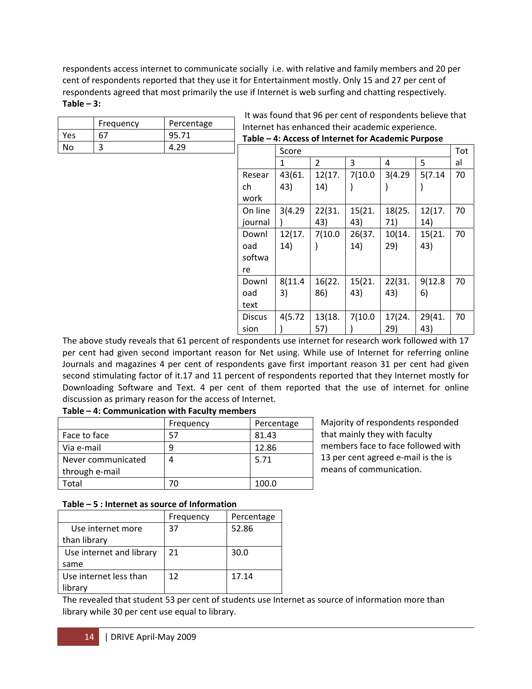respondents access internet to communicate socially i.e. with relative and family members and 20 per cent of respondents reported that they use it for Entertainment mostly. Only 15 and 27 per cent of respondents agreed that most primarily the use if Internet is web surfing and chatting respectively. **Table – 3:** 

|     | Frequency | Percentage |               | Internet has enhanced their academic experience.   |                |         |         |         |     |
|-----|-----------|------------|---------------|----------------------------------------------------|----------------|---------|---------|---------|-----|
| Yes | 67        | 95.71      |               | Table - 4: Access of Internet for Academic Purpose |                |         |         |         |     |
| No  | 3         | 4.29       |               | Score                                              |                |         |         |         | Tot |
|     |           |            |               |                                                    | $\overline{2}$ | 3       | 4       | 5       | al  |
|     |           |            | Resear        | 43(61.                                             | 12(17.         | 7(10.0) | 3(4.29) | 5(7.14) | 70  |
|     |           |            | ch            | 43)                                                | 14)            |         |         |         |     |
|     |           |            | work          |                                                    |                |         |         |         |     |
|     |           |            | On line       | 3(4.29)                                            | 22(31.         | 15(21.  | 18(25.  | 12(17.  | 70  |
|     |           |            | journal       |                                                    | 43)            | 43)     | 71)     | 14)     |     |
|     |           |            | Downl         | 12(17.                                             | 7(10.0)        | 26(37.  | 10(14.  | 15(21.  | 70  |
|     |           |            | oad           | 14)                                                |                | 14)     | 29)     | 43)     |     |
|     |           |            | softwa        |                                                    |                |         |         |         |     |
|     |           |            | re            |                                                    |                |         |         |         |     |
|     |           |            | Downl         | 8(11.4)                                            | 16(22.         | 15(21.  | 22(31.  | 9(12.8) | 70  |
|     |           |            | oad           | 3)                                                 | 86)            | 43)     | 43)     | 6)      |     |
|     |           |            | text          |                                                    |                |         |         |         |     |
|     |           |            | <b>Discus</b> | 4(5.72)                                            | 13(18.         | 7(10.0) | 17(24.  | 29(41.  | 70  |
|     |           |            | sion          |                                                    | 57)            |         | 29)     | 43)     |     |

 $-$  It was found that 96 per cent of respondents believe that

The above study reveals that 61 percent of respondents use internet for research work followed with 17 per cent had given second important reason for Net using. While use of Internet for referring online Journals and magazines 4 per cent of respondents gave first important reason 31 per cent had given second stimulating factor of it.17 and 11 percent of respondents reported that they Internet mostly for Downloading Software and Text. 4 per cent of them reported that the use of internet for online discussion as primary reason for the access of Internet.

|                    | Frequency | Percentage |
|--------------------|-----------|------------|
| Face to face       | 57        | 81.43      |
| Via e-mail         |           | 12.86      |
| Never communicated |           | 5.71       |
| through e-mail     |           |            |
| Total              |           | 100.0      |

# **Table – 4: Communication with Faculty members**

#### **Table – 5 : Internet as source of Information**

|                          | Frequency | Percentage |
|--------------------------|-----------|------------|
| Use internet more        | 37        | 52.86      |
| than library             |           |            |
| Use internet and library | 21        | 30.0       |
| same                     |           |            |
| Use internet less than   | 12        | 17.14      |
| library                  |           |            |

Majority of respondents responded that mainly they with faculty members face to face followed with 13 per cent agreed e-mail is the is means of communication.

The revealed that student 53 per cent of students use Internet as source of information more than library while 30 per cent use equal to library.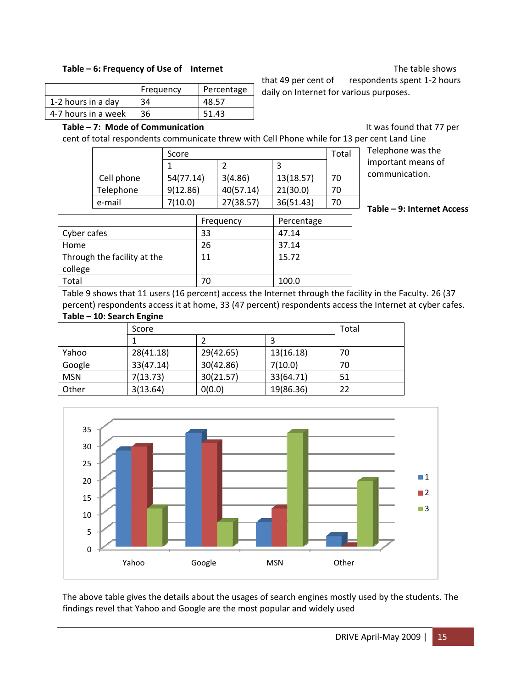#### **Table – 6: Frequency of Use of Internet** The table shows

|                     |           |            | that 49 per cent of                     | respondents spent 1-2 hours |
|---------------------|-----------|------------|-----------------------------------------|-----------------------------|
|                     | Frequency | Percentage | daily on Internet for various purposes. |                             |
| 1-2 hours in a day  | 34        | 48.57      |                                         |                             |
| 4-7 hours in a week | 36        | 51.43      |                                         |                             |

**Table – 7:** Mode of Communication **being the set of the Communication and the set of the Set of the Set of the Set of the Set of the Set of the Set of the Set of the Set of the Set of the Set of the Set of the Set of th** 

cent of total respondents communicate threw with Cell Phone while for 13 per cent Land Line

|            | Score     |           |           | Total | Telephone was the       |
|------------|-----------|-----------|-----------|-------|-------------------------|
|            |           |           |           |       | important means of      |
| Cell phone | 54(77.14) | 3(4.86)   | 13(18.57) | 70    | communication.          |
| Telephone  | 9(12.86)  | 40(57.14) | 21(30.0)  | 70    |                         |
| e-mail     | 7(10.0)   | 27(38.57) | 36(51.43) | 70    | $Table - 9: Internet A$ |

**Table – 9: Internet Access**

|                             | Frequency | Percentage |
|-----------------------------|-----------|------------|
| Cyber cafes                 | 33        | 47.14      |
| Home                        | 26        | 37.14      |
| Through the facility at the | 11        | 15.72      |
| college                     |           |            |
| Total                       | 70        | 100.0      |
|                             |           |            |

Table 9 shows that 11 users (16 percent) access the Internet through the facility in the Faculty. 26 (37 percent) respondents access it at home, 33 (47 percent) respondents access the Internet at cyber cafes. **Table – 10: Search Engine**

|            | Score     | Total     |           |    |
|------------|-----------|-----------|-----------|----|
|            |           |           |           |    |
| Yahoo      | 28(41.18) | 29(42.65) | 13(16.18) | 70 |
| Google     | 33(47.14) | 30(42.86) | 7(10.0)   | 70 |
| <b>MSN</b> | 7(13.73)  | 30(21.57) | 33(64.71) | 51 |
| Other      | 3(13.64)  | 0(0.0)    | 19(86.36) | 22 |



The above table gives the details about the usages of search engines mostly used by the students. The findings revel that Yahoo and Google are the most popular and widely used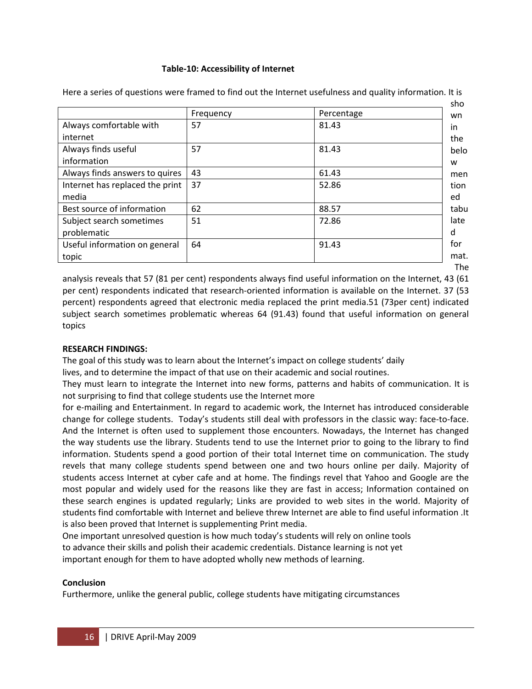#### **Table‐10: Accessibility of Internet**

|                                 | Frequency | Percentage | wn   |
|---------------------------------|-----------|------------|------|
| Always comfortable with         | 57        | 81.43      | in.  |
| internet                        |           |            | the  |
| Always finds useful             | 57        | 81.43      | belo |
| information                     |           |            | W    |
| Always finds answers to quires  | 43        | 61.43      | men  |
| Internet has replaced the print | 37        | 52.86      | tion |
| media                           |           |            | ed   |
| Best source of information      | 62        | 88.57      | tabu |
| Subject search sometimes        | 51        | 72.86      | late |
| problematic                     |           |            | d    |
| Useful information on general   | 64        | 91.43      | for  |
| topic                           |           |            | mat. |

Here a series of questions were framed to find out the Internet usefulness and quality information. It is

analysis reveals that 57 (81 per cent) respondents always find useful information on the Internet, 43 (61 per cent) respondents indicated that research-oriented information is available on the Internet. 37 (53 percent) respondents agreed that electronic media replaced the print media.51 (73per cent) indicated subject search sometimes problematic whereas 64 (91.43) found that useful information on general topics

#### **RESEARCH FINDINGS:**

The goal of this study was to learn about the Internet's impact on college students' daily lives, and to determine the impact of that use on their academic and social routines.

They must learn to integrate the Internet into new forms, patterns and habits of communication. It is not surprising to find that college students use the Internet more

for e-mailing and Entertainment. In regard to academic work, the Internet has introduced considerable change for college students. Today's students still deal with professors in the classic way: face‐to‐face. And the Internet is often used to supplement those encounters. Nowadays, the Internet has changed the way students use the library. Students tend to use the Internet prior to going to the library to find information. Students spend a good portion of their total Internet time on communication. The study revels that many college students spend between one and two hours online per daily. Majority of students access Internet at cyber cafe and at home. The findings revel that Yahoo and Google are the most popular and widely used for the reasons like they are fast in access; Information contained on these search engines is updated regularly; Links are provided to web sites in the world. Majority of students find comfortable with Internet and believe threw Internet are able to find useful information .It is also been proved that Internet is supplementing Print media.

One important unresolved question is how much today's students will rely on online tools to advance their skills and polish their academic credentials. Distance learning is not yet important enough for them to have adopted wholly new methods of learning.

#### **Conclusion**

Furthermore, unlike the general public, college students have mitigating circumstances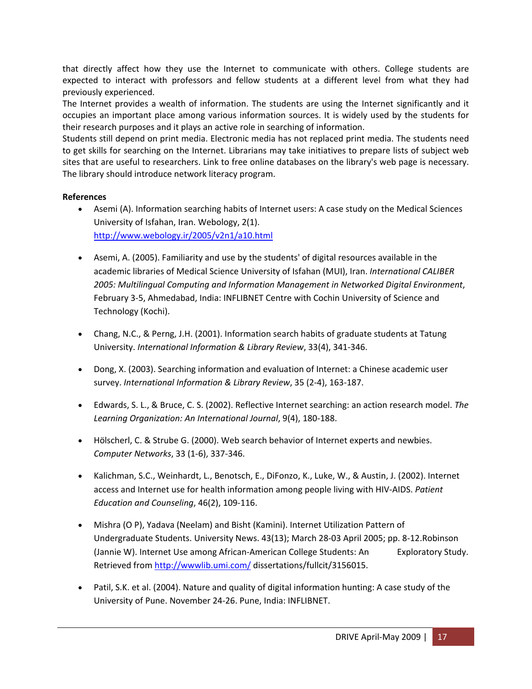that directly affect how they use the Internet to communicate with others. College students are expected to interact with professors and fellow students at a different level from what they had previously experienced.

The Internet provides a wealth of information. The students are using the Internet significantly and it occupies an important place among various information sources. It is widely used by the students for their research purposes and it plays an active role in searching of information.

Students still depend on print media. Electronic media has not replaced print media. The students need to get skills for searching on the Internet. Librarians may take initiatives to prepare lists of subject web sites that are useful to researchers. Link to free online databases on the library's web page is necessary. The library should introduce network literacy program.

#### **References**

- Asemi (A). Information searching habits of Internet users: A case study on the Medical Sciences University of Isfahan, Iran. Webology, 2(1). <http://www.webology.ir/2005/v2n1/a10.html>
- Asemi, A. (2005). Familiarity and use by the students' of digital resources available in the academic libraries of Medical Science University of Isfahan (MUI), Iran. *International CALIBER 2005: Multilingual Computing and Information Management in Networked Digital Environment*, February 3‐5, Ahmedabad, India: INFLIBNET Centre with Cochin University of Science and Technology (Kochi).
- Chang, N.C., & Perng, J.H. (2001). Information search habits of graduate students at Tatung University. *International Information & Library Review*, 33(4), 341‐346.
- Dong, X. (2003). Searching information and evaluation of Internet: a Chinese academic user survey. *International Information & Library Review*, 35 (2‐4), 163‐187.
- Edwards, S. L., & Bruce, C. S. (2002). Reflective Internet searching: an action research model. *The Learning Organization: An International Journal*, 9(4), 180‐188.
- Hölscherl, C. & Strube G. (2000). Web search behavior of Internet experts and newbies. *Computer Networks*, 33 (1‐6), 337‐346.
- Kalichman, S.C., Weinhardt, L., Benotsch, E., DiFonzo, K., Luke, W., & Austin, J. (2002). Internet access and Internet use for health information among people living with HIV‐AIDS. *Patient Education and Counseling*, 46(2), 109‐116.
- Mishra (O P), Yadava (Neelam) and Bisht (Kamini). Internet Utilization Pattern of Undergraduate Students. University News. 43(13); March 28‐03 April 2005; pp. 8‐12.Robinson (Jannie W). Internet Use among African-American College Students: An Exploratory Study. Retrieved from <http://wwwlib.umi.com/> dissertations/fullcit/3156015.
- Patil, S.K. et al. (2004). Nature and quality of digital information hunting: A case study of the University of Pune. November 24‐26. Pune, India: INFLIBNET.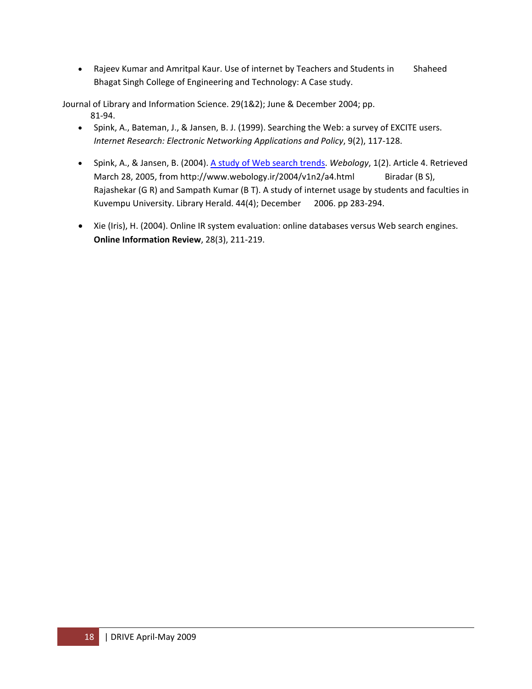• Rajeev Kumar and Amritpal Kaur. Use of internet by Teachers and Students in Shaheed Bhagat Singh College of Engineering and Technology: A Case study.

Journal of Library and Information Science. 29(1&2); June & December 2004; pp. 81‐94.

- Spink, A., Bateman, J., & Jansen, B. J. (1999). Searching the Web: a survey of EXCITE users. *Internet Research: Electronic Networking Applications and Policy*, 9(2), 117‐128.
- Spink, A., & Jansen, B. (2004). A study of Web [search](http://www.webology.ir/2004/v1n2/a4.html) trends. *Webology*, 1(2). Article 4. Retrieved March 28, 2005, from http://www.webology.ir/2004/v1n2/a4.html Biradar (B S), Rajashekar (G R) and Sampath Kumar (B T). A study of internet usage by students and faculties in Kuvempu University. Library Herald. 44(4); December 2006. pp 283‐294.
- Xie (Iris), H. (2004). Online IR system evaluation: online databases versus Web search engines. **Online Information Review**, 28(3), 211‐219.